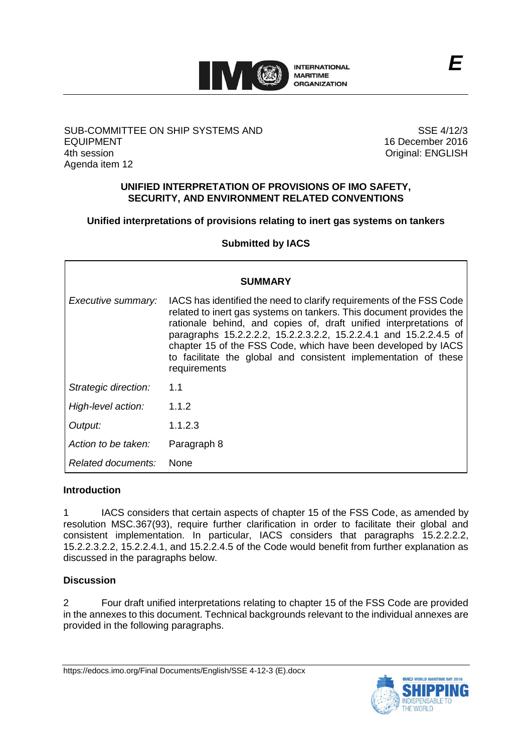

# SUB-COMMITTEE ON SHIP SYSTEMS AND EQUIPMENT 4th session Agenda item 12

SSE 4/12/3 16 December 2016 Original: ENGLISH

# **UNIFIED INTERPRETATION OF PROVISIONS OF IMO SAFETY, SECURITY, AND ENVIRONMENT RELATED CONVENTIONS**

# **Unified interpretations of provisions relating to inert gas systems on tankers**

**Submitted by IACS**

|                      | <b>SUMMARY</b>                                                                                                                                                                                                                                                                                                                                                                                                                            |
|----------------------|-------------------------------------------------------------------------------------------------------------------------------------------------------------------------------------------------------------------------------------------------------------------------------------------------------------------------------------------------------------------------------------------------------------------------------------------|
|                      |                                                                                                                                                                                                                                                                                                                                                                                                                                           |
| Executive summary:   | IACS has identified the need to clarify requirements of the FSS Code<br>related to inert gas systems on tankers. This document provides the<br>rationale behind, and copies of, draft unified interpretations of<br>paragraphs 15.2.2.2.2, 15.2.2.3.2.2, 15.2.2.4.1 and 15.2.2.4.5 of<br>chapter 15 of the FSS Code, which have been developed by IACS<br>to facilitate the global and consistent implementation of these<br>requirements |
| Strategic direction: | 1.1                                                                                                                                                                                                                                                                                                                                                                                                                                       |
| High-level action:   | 1.1.2                                                                                                                                                                                                                                                                                                                                                                                                                                     |
| Output:              | 1.1.2.3                                                                                                                                                                                                                                                                                                                                                                                                                                   |
| Action to be taken:  | Paragraph 8                                                                                                                                                                                                                                                                                                                                                                                                                               |
| Related documents:   | <b>None</b>                                                                                                                                                                                                                                                                                                                                                                                                                               |

# **Introduction**

1 IACS considers that certain aspects of chapter 15 of the FSS Code, as amended by resolution MSC.367(93), require further clarification in order to facilitate their global and consistent implementation. In particular, IACS considers that paragraphs 15.2.2.2.2, 15.2.2.3.2.2, 15.2.2.4.1, and 15.2.2.4.5 of the Code would benefit from further explanation as discussed in the paragraphs below.

# **Discussion**

2 Four draft unified interpretations relating to chapter 15 of the FSS Code are provided in the annexes to this document. Technical backgrounds relevant to the individual annexes are provided in the following paragraphs.

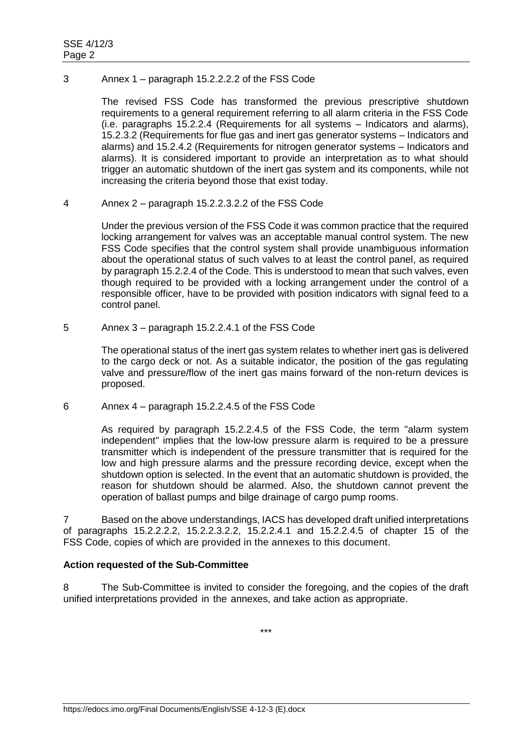### 3 Annex 1 – paragraph 15.2.2.2.2 of the FSS Code

The revised FSS Code has transformed the previous prescriptive shutdown requirements to a general requirement referring to all alarm criteria in the FSS Code (i.e. paragraphs 15.2.2.4 (Requirements for all systems – Indicators and alarms), 15.2.3.2 (Requirements for flue gas and inert gas generator systems – Indicators and alarms) and 15.2.4.2 (Requirements for nitrogen generator systems – Indicators and alarms). It is considered important to provide an interpretation as to what should trigger an automatic shutdown of the inert gas system and its components, while not increasing the criteria beyond those that exist today.

### 4 Annex 2 – paragraph 15.2.2.3.2.2 of the FSS Code

Under the previous version of the FSS Code it was common practice that the required locking arrangement for valves was an acceptable manual control system. The new FSS Code specifies that the control system shall provide unambiguous information about the operational status of such valves to at least the control panel, as required by paragraph 15.2.2.4 of the Code. This is understood to mean that such valves, even though required to be provided with a locking arrangement under the control of a responsible officer, have to be provided with position indicators with signal feed to a control panel.

# 5 Annex 3 – paragraph 15.2.2.4.1 of the FSS Code

The operational status of the inert gas system relates to whether inert gas is delivered to the cargo deck or not. As a suitable indicator, the position of the gas regulating valve and pressure/flow of the inert gas mains forward of the non-return devices is proposed.

6 Annex 4 – paragraph 15.2.2.4.5 of the FSS Code

As required by paragraph 15.2.2.4.5 of the FSS Code, the term "alarm system independent" implies that the low-low pressure alarm is required to be a pressure transmitter which is independent of the pressure transmitter that is required for the low and high pressure alarms and the pressure recording device, except when the shutdown option is selected. In the event that an automatic shutdown is provided, the reason for shutdown should be alarmed. Also, the shutdown cannot prevent the operation of ballast pumps and bilge drainage of cargo pump rooms.

7 Based on the above understandings, IACS has developed draft unified interpretations of paragraphs 15.2.2.2.2, 15.2.2.3.2.2, 15.2.2.4.1 and 15.2.2.4.5 of chapter 15 of the FSS Code, copies of which are provided in the annexes to this document.

# **Action requested of the Sub-Committee**

8 The Sub-Committee is invited to consider the foregoing, and the copies of the draft unified interpretations provided in the annexes, and take action as appropriate.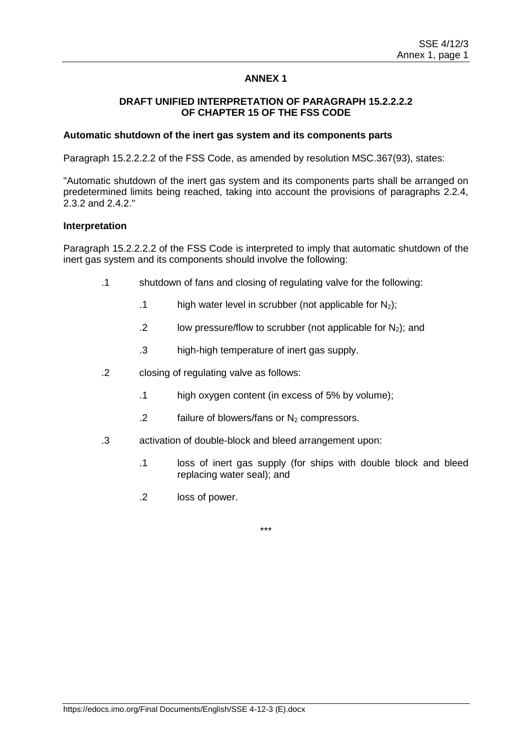### **DRAFT UNIFIED INTERPRETATION OF PARAGRAPH 15.2.2.2.2 OF CHAPTER 15 OF THE FSS CODE**

### **Automatic shutdown of the inert gas system and its components parts**

Paragraph 15.2.2.2.2 of the FSS Code, as amended by resolution MSC.367(93), states:

"Automatic shutdown of the inert gas system and its components parts shall be arranged on predetermined limits being reached, taking into account the provisions of paragraphs 2.2.4, 2.3.2 and 2.4.2."

### **Interpretation**

Paragraph 15.2.2.2.2 of the FSS Code is interpreted to imply that automatic shutdown of the inert gas system and its components should involve the following:

- .1 shutdown of fans and closing of regulating valve for the following:
	- .1 high water level in scrubber (not applicable for  $N_2$ );
	- .2 low pressure/flow to scrubber (not applicable for  $N_2$ ); and
	- .3 high-high temperature of inert gas supply.
- .2 closing of regulating valve as follows:
	- .1 high oxygen content (in excess of 5% by volume);
	- .2 failure of blowers/fans or  $N_2$  compressors.
- .3 activation of double-block and bleed arrangement upon:
	- .1 loss of inert gas supply (for ships with double block and bleed replacing water seal); and
	- .2 loss of power.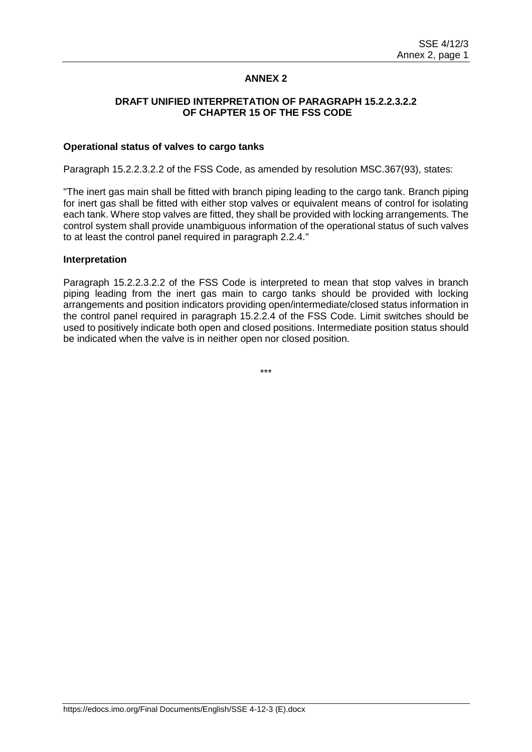### **DRAFT UNIFIED INTERPRETATION OF PARAGRAPH 15.2.2.3.2.2 OF CHAPTER 15 OF THE FSS CODE**

#### **Operational status of valves to cargo tanks**

Paragraph 15.2.2.3.2.2 of the FSS Code, as amended by resolution MSC.367(93), states:

"The inert gas main shall be fitted with branch piping leading to the cargo tank. Branch piping for inert gas shall be fitted with either stop valves or equivalent means of control for isolating each tank. Where stop valves are fitted, they shall be provided with locking arrangements. The control system shall provide unambiguous information of the operational status of such valves to at least the control panel required in paragraph 2.2.4."

#### **Interpretation**

Paragraph 15.2.2.3.2.2 of the FSS Code is interpreted to mean that stop valves in branch piping leading from the inert gas main to cargo tanks should be provided with locking arrangements and position indicators providing open/intermediate/closed status information in the control panel required in paragraph 15.2.2.4 of the FSS Code. Limit switches should be used to positively indicate both open and closed positions. Intermediate position status should be indicated when the valve is in neither open nor closed position.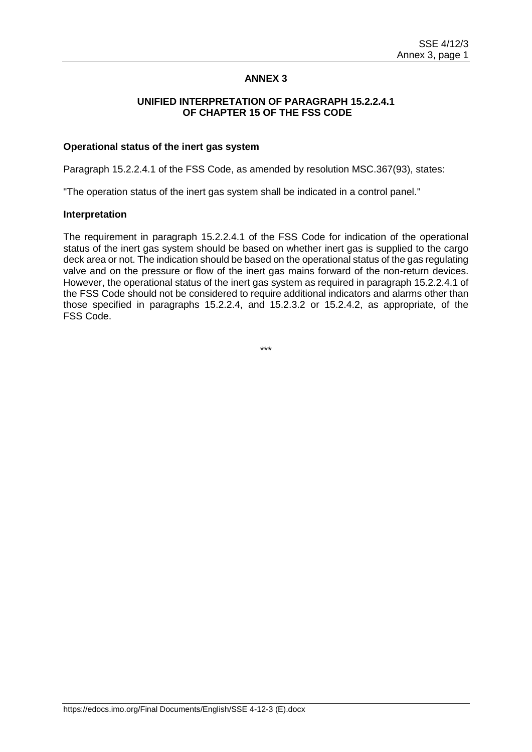### **UNIFIED INTERPRETATION OF PARAGRAPH 15.2.2.4.1 OF CHAPTER 15 OF THE FSS CODE**

#### **Operational status of the inert gas system**

Paragraph 15.2.2.4.1 of the FSS Code, as amended by resolution MSC.367(93), states:

"The operation status of the inert gas system shall be indicated in a control panel."

#### **Interpretation**

The requirement in paragraph 15.2.2.4.1 of the FSS Code for indication of the operational status of the inert gas system should be based on whether inert gas is supplied to the cargo deck area or not. The indication should be based on the operational status of the gas regulating valve and on the pressure or flow of the inert gas mains forward of the non-return devices. However, the operational status of the inert gas system as required in paragraph 15.2.2.4.1 of the FSS Code should not be considered to require additional indicators and alarms other than those specified in paragraphs 15.2.2.4, and 15.2.3.2 or 15.2.4.2, as appropriate, of the FSS Code.